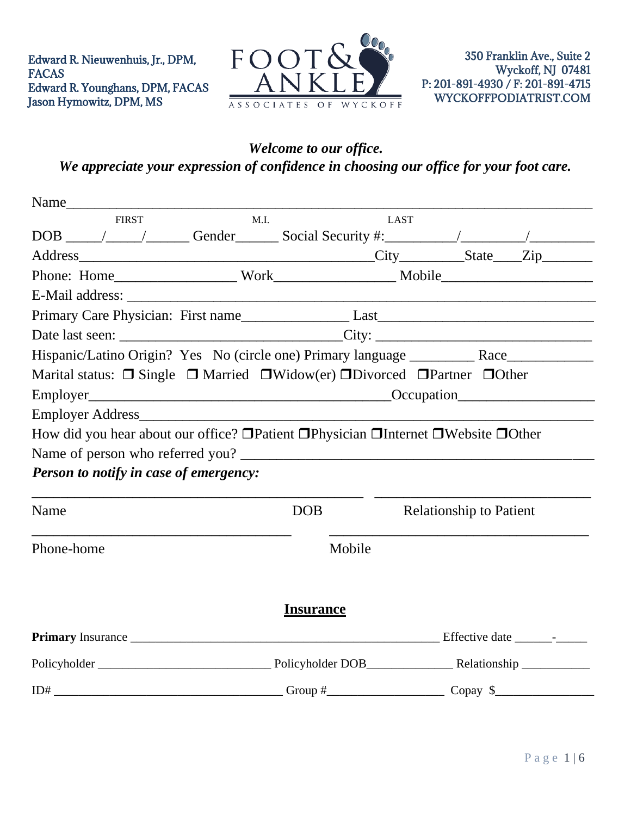

## *Welcome to our office. We appreciate your expression of confidence in choosing our office for your foot care.*

| Name                                                                                                      |      |                  |                                |  |
|-----------------------------------------------------------------------------------------------------------|------|------------------|--------------------------------|--|
| <b>FIRST</b>                                                                                              | M.I. |                  | <b>LAST</b>                    |  |
|                                                                                                           |      |                  |                                |  |
|                                                                                                           |      |                  |                                |  |
|                                                                                                           |      |                  |                                |  |
|                                                                                                           |      |                  |                                |  |
|                                                                                                           |      |                  |                                |  |
|                                                                                                           |      |                  |                                |  |
| Hispanic/Latino Origin? Yes No (circle one) Primary language ___________ Race_______________________      |      |                  |                                |  |
| Marital status: $\Box$ Single $\Box$ Married $\Box$ Widow(er) $\Box$ Divorced $\Box$ Partner $\Box$ Other |      |                  |                                |  |
|                                                                                                           |      |                  |                                |  |
|                                                                                                           |      |                  |                                |  |
| How did you hear about our office? □ Patient □ Physician □ Internet □ Website □ Other                     |      |                  |                                |  |
|                                                                                                           |      |                  |                                |  |
| Person to notify in case of emergency:                                                                    |      |                  |                                |  |
| Name                                                                                                      |      | <b>DOB</b>       | <b>Relationship to Patient</b> |  |
| Phone-home                                                                                                |      | Mobile           |                                |  |
|                                                                                                           |      | <b>Insurance</b> |                                |  |
|                                                                                                           |      |                  |                                |  |
|                                                                                                           |      |                  |                                |  |
|                                                                                                           |      |                  |                                |  |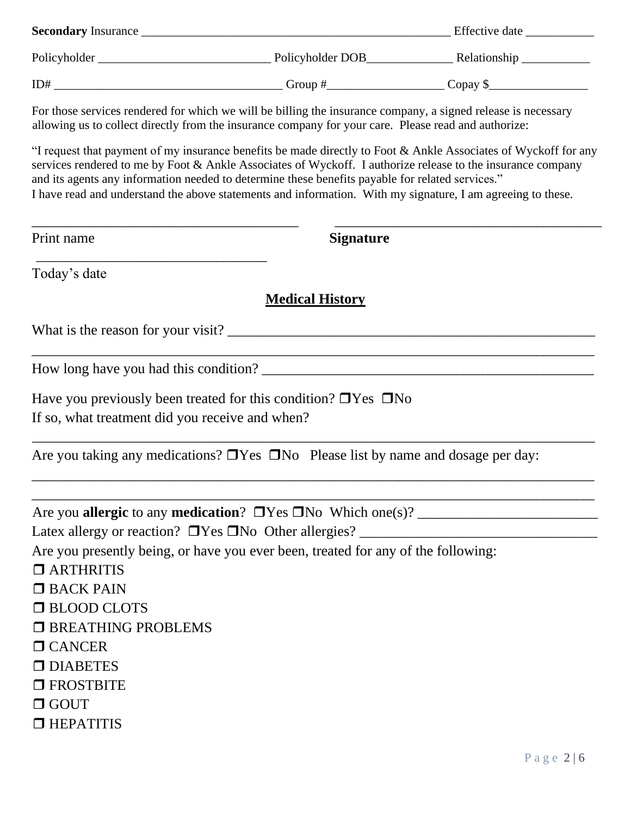| <b>Secondary</b> Insurance League and the second second second second second second second second second second second second second second second second second second second second second second second second second second sec                                                                                            |                  |                                                                                                                 |
|--------------------------------------------------------------------------------------------------------------------------------------------------------------------------------------------------------------------------------------------------------------------------------------------------------------------------------|------------------|-----------------------------------------------------------------------------------------------------------------|
|                                                                                                                                                                                                                                                                                                                                |                  |                                                                                                                 |
|                                                                                                                                                                                                                                                                                                                                |                  |                                                                                                                 |
| For those services rendered for which we will be billing the insurance company, a signed release is necessary<br>allowing us to collect directly from the insurance company for your care. Please read and authorize:                                                                                                          |                  |                                                                                                                 |
| services rendered to me by Foot & Ankle Associates of Wyckoff. I authorize release to the insurance company<br>and its agents any information needed to determine these benefits payable for related services."<br>I have read and understand the above statements and information. With my signature, I am agreeing to these. |                  | "I request that payment of my insurance benefits be made directly to Foot & Ankle Associates of Wyckoff for any |
| Print name                                                                                                                                                                                                                                                                                                                     | <b>Signature</b> |                                                                                                                 |

Today's date

### **Medical History**

\_\_\_\_\_\_\_\_\_\_\_\_\_\_\_\_\_\_\_\_\_\_\_\_\_\_\_\_\_\_\_\_\_\_\_\_\_\_\_\_\_\_\_\_\_\_\_\_\_\_\_\_\_\_\_\_\_\_\_\_\_\_\_\_\_\_\_\_\_\_\_\_\_\_\_\_\_\_

\_\_\_\_\_\_\_\_\_\_\_\_\_\_\_\_\_\_\_\_\_\_\_\_\_\_\_\_\_\_\_\_\_\_\_\_\_\_\_\_\_\_\_\_\_\_\_\_\_\_\_\_\_\_\_\_\_\_\_\_\_\_\_\_\_\_\_\_\_\_\_\_\_\_\_\_\_\_

 $\mathcal{L}_\text{max} = \mathcal{L}_\text{max} = \mathcal{L}_\text{max} = \mathcal{L}_\text{max} = \mathcal{L}_\text{max} = \mathcal{L}_\text{max} = \mathcal{L}_\text{max} = \mathcal{L}_\text{max} = \mathcal{L}_\text{max} = \mathcal{L}_\text{max} = \mathcal{L}_\text{max} = \mathcal{L}_\text{max} = \mathcal{L}_\text{max} = \mathcal{L}_\text{max} = \mathcal{L}_\text{max} = \mathcal{L}_\text{max} = \mathcal{L}_\text{max} = \mathcal{L}_\text{max} = \mathcal{$ 

What is the reason for your visit? \_\_\_\_\_\_\_\_\_\_\_\_\_\_\_\_\_\_\_\_\_\_\_\_\_\_\_\_\_\_\_\_\_\_\_\_\_\_\_\_\_\_\_\_\_\_\_\_\_\_\_

How long have you had this condition? \_\_\_\_\_\_\_\_\_\_\_\_\_\_\_\_\_\_\_\_\_\_\_\_\_\_\_\_\_\_\_\_\_\_\_\_\_\_\_\_\_\_\_\_\_\_

Have you previously been treated for this condition?  $\Box$  Yes  $\Box$  No

If so, what treatment did you receive and when?

Are you taking any medications?  $\Box$  Yes  $\Box$  No Please list by name and dosage per day:

| Are you allergic to any medication? $\Box$ Yes $\Box$ No Which one(s)?            |
|-----------------------------------------------------------------------------------|
| Latex allergy or reaction? $\Box$ Yes $\Box$ No Other allergies? $\Box$           |
| Are you presently being, or have you ever been, treated for any of the following: |
| $\Box$ ARTHRITIS                                                                  |
| $\Box$ BACK PAIN                                                                  |
| <b>EXECUTE:</b> BLOOD CLOTS                                                       |
| <b>E BREATHING PROBLEMS</b>                                                       |
| $\Box$ CANCER                                                                     |
| $\Box$ DIABETES                                                                   |
| $\Box$ FROSTBITE                                                                  |
| $\Box$ GOUT                                                                       |
| $\Box$ HEPATITIS                                                                  |
|                                                                                   |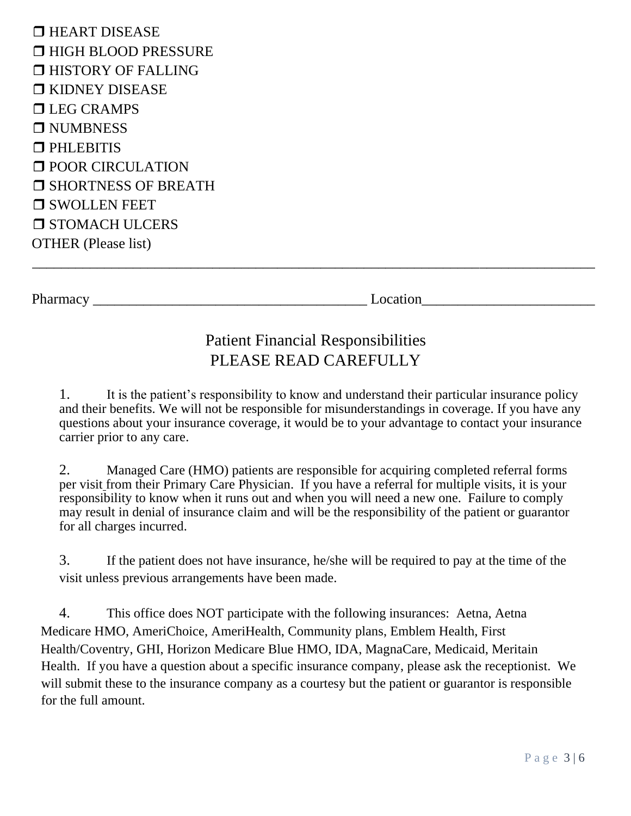**THEART DISEASE HIGH BLOOD PRESSURE IHISTORY OF FALLING T** KIDNEY DISEASE **TLEG CRAMPS D** NUMBNESS **PHLEBITIS D** POOR CIRCULATION **SHORTNESS OF BREATH SWOLLEN FEET O STOMACH ULCERS** OTHER (Please list)

Pharmacy \_\_\_\_\_\_\_\_\_\_\_\_\_\_\_\_\_\_\_\_\_\_\_\_\_\_\_\_\_\_\_\_\_\_\_\_\_\_ Location\_\_\_\_\_\_\_\_\_\_\_\_\_\_\_\_\_\_\_\_\_\_\_\_

# Patient Financial Responsibilities PLEASE READ CAREFULLY

\_\_\_\_\_\_\_\_\_\_\_\_\_\_\_\_\_\_\_\_\_\_\_\_\_\_\_\_\_\_\_\_\_\_\_\_\_\_\_\_\_\_\_\_\_\_\_\_\_\_\_\_\_\_\_\_\_\_\_\_\_\_\_\_\_\_\_\_\_\_\_\_\_\_\_\_\_\_

1. It is the patient's responsibility to know and understand their particular insurance policy and their benefits. We will not be responsible for misunderstandings in coverage. If you have any questions about your insurance coverage, it would be to your advantage to contact your insurance carrier prior to any care.

2. Managed Care (HMO) patients are responsible for acquiring completed referral forms per visit from their Primary Care Physician. If you have a referral for multiple visits, it is your responsibility to know when it runs out and when you will need a new one. Failure to comply may result in denial of insurance claim and will be the responsibility of the patient or guarantor for all charges incurred.

3. If the patient does not have insurance, he/she will be required to pay at the time of the visit unless previous arrangements have been made.

4. This office does NOT participate with the following insurances: Aetna, Aetna Medicare HMO, AmeriChoice, AmeriHealth, Community plans, Emblem Health, First Health/Coventry, GHI, Horizon Medicare Blue HMO, IDA, MagnaCare, Medicaid, Meritain Health. If you have a question about a specific insurance company, please ask the receptionist. We will submit these to the insurance company as a courtesy but the patient or guarantor is responsible for the full amount.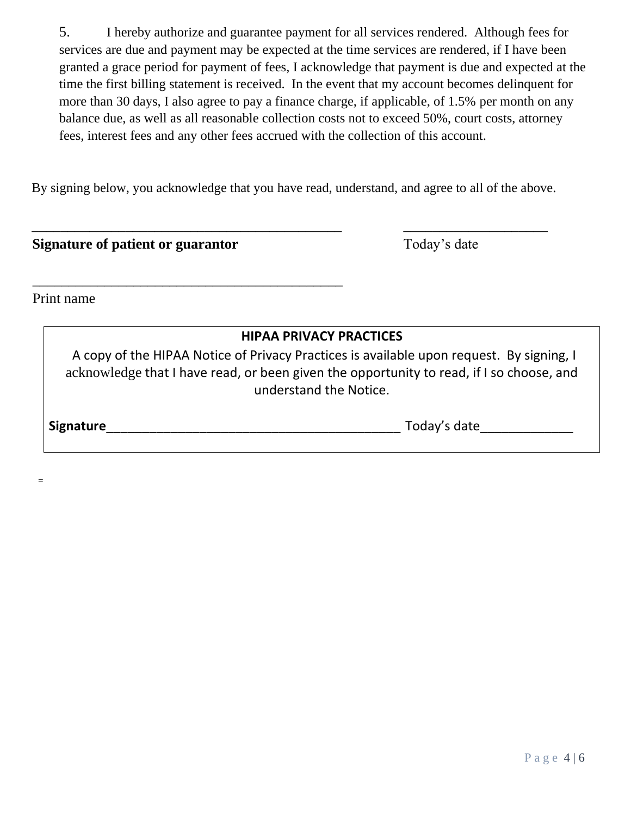5. I hereby authorize and guarantee payment for all services rendered. Although fees for services are due and payment may be expected at the time services are rendered, if I have been granted a grace period for payment of fees, I acknowledge that payment is due and expected at the time the first billing statement is received. In the event that my account becomes delinquent for more than 30 days, I also agree to pay a finance charge, if applicable, of 1.5% per month on any balance due, as well as all reasonable collection costs not to exceed 50%, court costs, attorney fees, interest fees and any other fees accrued with the collection of this account.

By signing below, you acknowledge that you have read, understand, and agree to all of the above.

\_\_\_\_\_\_\_\_\_\_\_\_\_\_\_\_\_\_\_\_\_\_\_\_\_\_\_\_\_\_\_\_\_\_\_\_\_\_\_\_\_\_\_ \_\_\_\_\_\_\_\_\_\_\_\_\_\_\_\_\_\_\_\_

| Signature of patient or guarantor                                                                                  | Today's date                                                                             |
|--------------------------------------------------------------------------------------------------------------------|------------------------------------------------------------------------------------------|
| Print name                                                                                                         |                                                                                          |
| <b>HIPAA PRIVACY PRACTICES</b>                                                                                     | A copy of the HIPAA Notice of Privacy Practices is available upon request. By signing, I |
| acknowledge that I have read, or been given the opportunity to read, if I so choose, and<br>understand the Notice. |                                                                                          |
| <b>Signature</b>                                                                                                   | Today's date                                                                             |
|                                                                                                                    |                                                                                          |

=